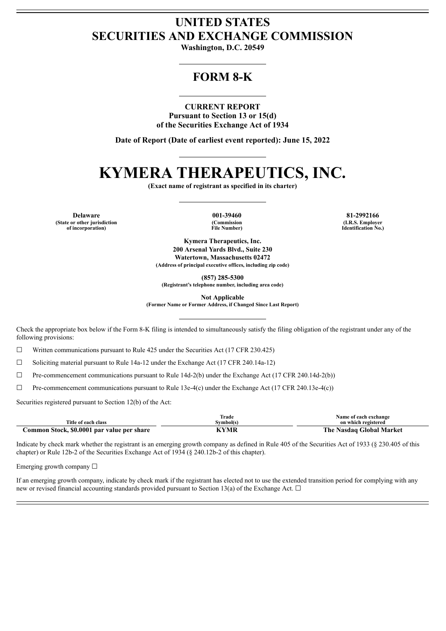# **UNITED STATES SECURITIES AND EXCHANGE COMMISSION**

**Washington, D.C. 20549**

# **FORM 8-K**

**CURRENT REPORT Pursuant to Section 13 or 15(d) of the Securities Exchange Act of 1934**

**Date of Report (Date of earliest event reported): June 15, 2022**

# **KYMERA THERAPEUTICS, INC.**

**(Exact name of registrant as specified in its charter)**

**(State or other jurisdiction of incorporation)**

**(Commission File Number)**

**Delaware 001-39460 81-2992166 (I.R.S. Employer Identification No.)**

> **Kymera Therapeutics, Inc. 200 Arsenal Yards Blvd., Suite 230 Watertown, Massachusetts 02472 (Address of principal executive offices, including zip code)**

> > **(857) 285-5300**

**(Registrant's telephone number, including area code)**

**Not Applicable**

**(Former Name or Former Address, if Changed Since Last Report)**

Check the appropriate box below if the Form 8-K filing is intended to simultaneously satisfy the filing obligation of the registrant under any of the following provisions:

☐ Written communications pursuant to Rule 425 under the Securities Act (17 CFR 230.425)

☐ Soliciting material pursuant to Rule 14a-12 under the Exchange Act (17 CFR 240.14a-12)

☐ Pre-commencement communications pursuant to Rule 14d-2(b) under the Exchange Act (17 CFR 240.14d-2(b))

 $\Box$  Pre-commencement communications pursuant to Rule 13e-4(c) under the Exchange Act (17 CFR 240.13e-4(c))

Securities registered pursuant to Section 12(b) of the Act:

|                                            | Trade     | Name of each exchange    |
|--------------------------------------------|-----------|--------------------------|
| Title of each class                        | Svmbol(s) | on which registered      |
| Common Stock, \$0.0001 par value per share | KYMR      | The Nasdaq Global Market |

Indicate by check mark whether the registrant is an emerging growth company as defined in Rule 405 of the Securities Act of 1933 (§ 230.405 of this chapter) or Rule 12b-2 of the Securities Exchange Act of 1934 (§ 240.12b-2 of this chapter).

Emerging growth company  $\Box$ 

If an emerging growth company, indicate by check mark if the registrant has elected not to use the extended transition period for complying with any new or revised financial accounting standards provided pursuant to Section 13(a) of the Exchange Act.  $\Box$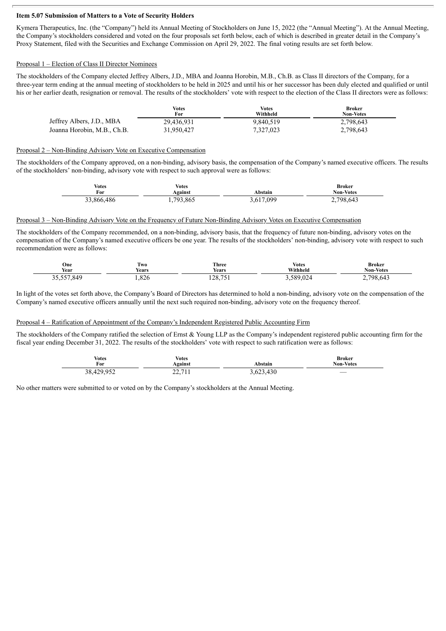## **Item 5.07 Submission of Matters to a Vote of Security Holders**

Kymera Therapeutics, Inc. (the "Company") held its Annual Meeting of Stockholders on June 15, 2022 (the "Annual Meeting"). At the Annual Meeting, the Company's stockholders considered and voted on the four proposals set forth below, each of which is described in greater detail in the Company's Proxy Statement, filed with the Securities and Exchange Commission on April 29, 2022. The final voting results are set forth below.

## Proposal 1 – Election of Class II Director Nominees

The stockholders of the Company elected Jeffrey Albers, J.D., MBA and Joanna Horobin, M.B., Ch.B. as Class II directors of the Company, for a three-year term ending at the annual meeting of stockholders to be held in 2025 and until his or her successor has been duly elected and qualified or until his or her earlier death, resignation or removal. The results of the stockholders' vote with respect to the election of the Class II directors were as follows:

|                             | Votes<br>For | <b>Votes</b><br>Withheld | <b>Broker</b><br><b>Non-Votes</b> |
|-----------------------------|--------------|--------------------------|-----------------------------------|
| Jeffrey Albers, J.D., MBA   | 29,436,931   | 9.840.519                | 2,798,643                         |
| Joanna Horobin, M.B., Ch.B. | 31,950,427   | 7,327,023                | 2,798,643                         |

### Proposal 2 – Non-Binding Advisory Vote on Executive Compensation

The stockholders of the Company approved, on a non-binding, advisory basis, the compensation of the Company's named executive officers. The results of the stockholders' non-binding, advisory vote with respect to such approval were as follows:

| Votes      | Votes          | Abstain   | Broker              |
|------------|----------------|-----------|---------------------|
| For        | <b>Against</b> |           | <b>Non-Votes</b>    |
| 33,866,486 | 1,793,865      | 3,617,099 | 798,643<br><u>.</u> |

### Proposal 3 – Non-Binding Advisory Vote on the Frequency of Future Non-Binding Advisory Votes on Executive Compensation

The stockholders of the Company recommended, on a non-binding, advisory basis, that the frequency of future non-binding, advisory votes on the compensation of the Company's named executive officers be one year. The results of the stockholders' non-binding, advisory vote with respect to such recommendation were as follows:

| One<br>Year             | $\sim$<br>l wo<br>Years | Three<br><b>Years</b> | <b>Votes</b><br>Withheld | <b>Broker</b><br><b>Non-Votes</b> |
|-------------------------|-------------------------|-----------------------|--------------------------|-----------------------------------|
| $- - -$<br>849<br>----- | $\Omega$<br>.020        | 100751<br>120, 71     | 589.02<br>.              | 798 L<br>.643<br>-                |

In light of the votes set forth above, the Company's Board of Directors has determined to hold a non-binding, advisory vote on the compensation of the Company's named executive officers annually until the next such required non-binding, advisory vote on the frequency thereof.

### Proposal 4 – Ratification of Appointment of the Company's Independent Registered Public Accounting Firm

The stockholders of the Company ratified the selection of Ernst & Young LLP as the Company's independent registered public accounting firm for the fiscal year ending December 31, 2022. The results of the stockholders' vote with respect to such ratification were as follows:

| <b>Votes</b> | Votes                    | Abstain   | <b>Broker</b>            |
|--------------|--------------------------|-----------|--------------------------|
| For          | Against                  |           | Non-Votes                |
| 38,429,952   | 71<br>ົ<br>$\frac{1}{2}$ | 3,623,430 | $\overline{\phantom{a}}$ |

No other matters were submitted to or voted on by the Company's stockholders at the Annual Meeting.